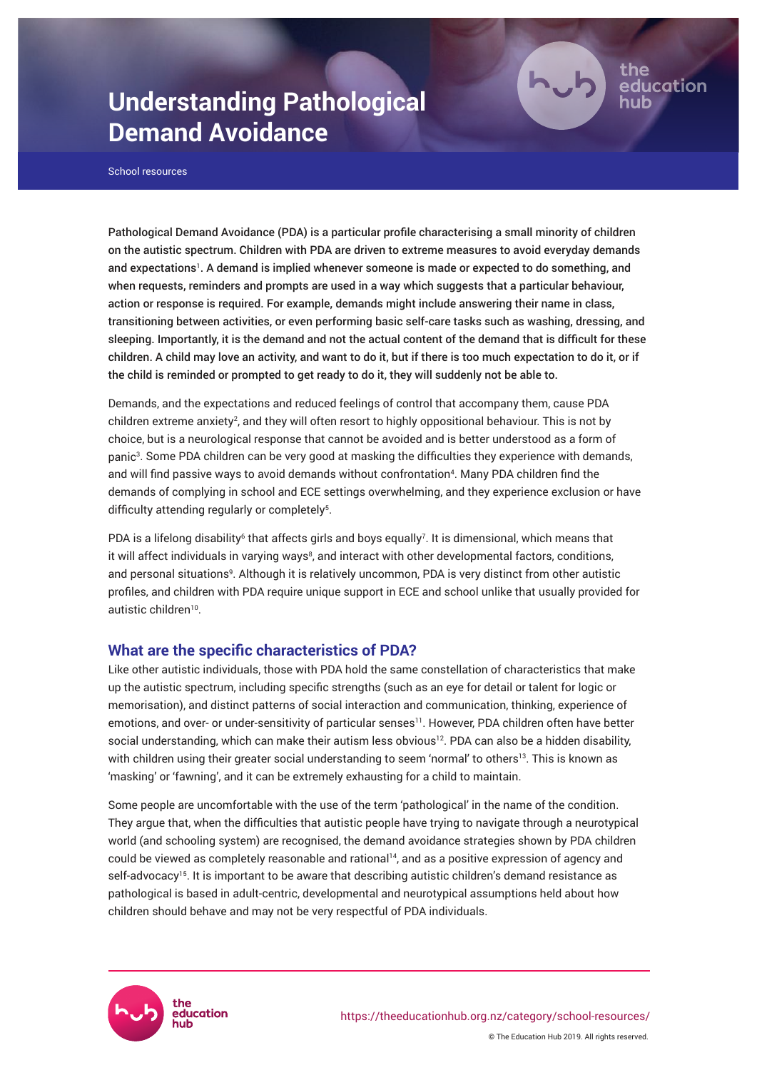# **Understanding Pathological Demand Avoidance**

School resources

Pathological Demand Avoidance (PDA) is a particular profile characterising a small minority of children on the autistic spectrum. Children with PDA are driven to extreme measures to avoid everyday demands and expectations<sup>1</sup>. A demand is implied whenever someone is made or expected to do something, and when requests, reminders and prompts are used in a way which suggests that a particular behaviour, action or response is required. For example, demands might include answering their name in class, transitioning between activities, or even performing basic self-care tasks such as washing, dressing, and sleeping. Importantly, it is the demand and not the actual content of the demand that is difficult for these children. A child may love an activity, and want to do it, but if there is too much expectation to do it, or if the child is reminded or prompted to get ready to do it, they will suddenly not be able to.

ducation

Demands, and the expectations and reduced feelings of control that accompany them, cause PDA children extreme anxiety<sup>2</sup>, and they will often resort to highly oppositional behaviour. This is not by choice, but is a neurological response that cannot be avoided and is better understood as a form of panic<sup>3</sup>. Some PDA children can be very good at masking the difficulties they experience with demands, and will find passive ways to avoid demands without confrontation<sup>4</sup>. Many PDA children find the demands of complying in school and ECE settings overwhelming, and they experience exclusion or have difficulty attending regularly or completely<sup>5</sup>.

PDA is a lifelong disability<sup>6</sup> that affects girls and boys equally<sup>7</sup>. It is dimensional, which means that it will affect individuals in varying ways<sup>8</sup>, and interact with other developmental factors, conditions, and personal situations<sup>9</sup>. Although it is relatively uncommon, PDA is very distinct from other autistic profiles, and children with PDA require unique support in ECE and school unlike that usually provided for autistic children<sup>10</sup>.

## **What are the specific characteristics of PDA?**

Like other autistic individuals, those with PDA hold the same constellation of characteristics that make up the autistic spectrum, including specific strengths (such as an eye for detail or talent for logic or memorisation), and distinct patterns of social interaction and communication, thinking, experience of emotions, and over- or under-sensitivity of particular senses<sup>11</sup>. However, PDA children often have better social understanding, which can make their autism less obvious<sup>12</sup>. PDA can also be a hidden disability, with children using their greater social understanding to seem 'normal' to others<sup>13</sup>. This is known as 'masking' or 'fawning', and it can be extremely exhausting for a child to maintain.

Some people are uncomfortable with the use of the term 'pathological' in the name of the condition. They argue that, when the difficulties that autistic people have trying to navigate through a neurotypical world (and schooling system) are recognised, the demand avoidance strategies shown by PDA children could be viewed as completely reasonable and rational<sup>14</sup>, and as a positive expression of agency and self-advocacy<sup>15</sup>. It is important to be aware that describing autistic children's demand resistance as pathological is based in adult-centric, developmental and neurotypical assumptions held about how children should behave and may not be very respectful of PDA individuals.

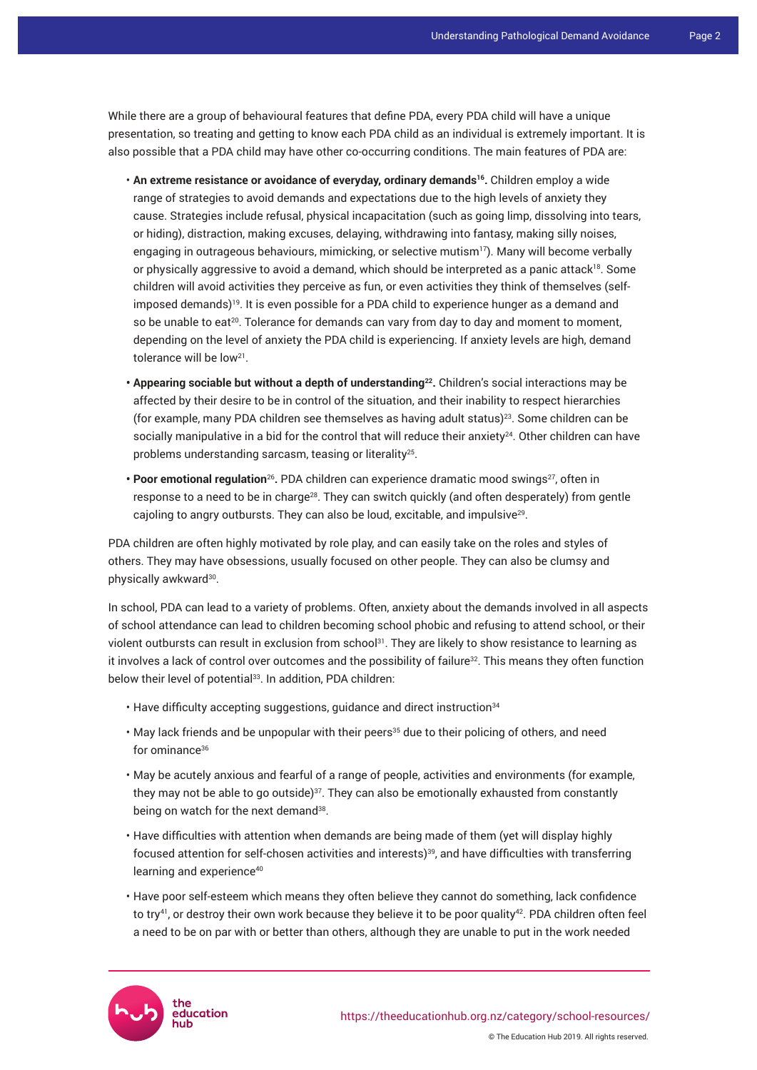While there are a group of behavioural features that define PDA, every PDA child will have a unique presentation, so treating and getting to know each PDA child as an individual is extremely important. It is also possible that a PDA child may have other co-occurring conditions. The main features of PDA are:

- **An extreme resistance or avoidance of everyday, ordinary demands<sup>16</sup> .** Children employ a wide range of strategies to avoid demands and expectations due to the high levels of anxiety they cause. Strategies include refusal, physical incapacitation (such as going limp, dissolving into tears, or hiding), distraction, making excuses, delaying, withdrawing into fantasy, making silly noises, engaging in outrageous behaviours, mimicking, or selective mutism<sup>17</sup>). Many will become verbally or physically aggressive to avoid a demand, which should be interpreted as a panic attack<sup>18</sup>. Some children will avoid activities they perceive as fun, or even activities they think of themselves (selfimposed demands)<sup>19</sup>. It is even possible for a PDA child to experience hunger as a demand and so be unable to eat<sup>20</sup>. Tolerance for demands can vary from day to day and moment to moment, depending on the level of anxiety the PDA child is experiencing. If anxiety levels are high, demand tolerance will be low<sup>21</sup>.
- **Appearing sociable but without a depth of understanding<sup>22</sup> .** Children's social interactions may be affected by their desire to be in control of the situation, and their inability to respect hierarchies (for example, many PDA children see themselves as having adult status)<sup>23</sup>. Some children can be socially manipulative in a bid for the control that will reduce their anxiety<sup>24</sup>. Other children can have problems understanding sarcasm, teasing or literality<sup>25</sup> .
- Poor emotional regulation<sup>26</sup>. PDA children can experience dramatic mood swings<sup>27</sup>, often in response to a need to be in charge<sup>28</sup>. They can switch quickly (and often desperately) from gentle cajoling to angry outbursts. They can also be loud, excitable, and impulsive<sup>29</sup> .

PDA children are often highly motivated by role play, and can easily take on the roles and styles of others. They may have obsessions, usually focused on other people. They can also be clumsy and physically awkward $^{30}$ .

In school, PDA can lead to a variety of problems. Often, anxiety about the demands involved in all aspects of school attendance can lead to children becoming school phobic and refusing to attend school, or their violent outbursts can result in exclusion from school<sup>31</sup>. They are likely to show resistance to learning as it involves a lack of control over outcomes and the possibility of failure<sup>32</sup>. This means they often function below their level of potential<sup>33</sup>. In addition, PDA children:

- Have difficulty accepting suggestions, guidance and direct instruction<sup>34</sup>
- May lack friends and be unpopular with their peers<sup>35</sup> due to their policing of others, and need for ominance<sup>36</sup>
- May be acutely anxious and fearful of a range of people, activities and environments (for example, they may not be able to go outside) $37$ . They can also be emotionally exhausted from constantly being on watch for the next demand<sup>38</sup>.
- Have difficulties with attention when demands are being made of them (yet will display highly focused attention for self-chosen activities and interests)<sup>39</sup>, and have difficulties with transferring learning and experience<sup>40</sup>
- Have poor self-esteem which means they often believe they cannot do something, lack confidence to try<sup>41</sup>, or destroy their own work because they believe it to be poor quality<sup>42</sup>. PDA children often feel a need to be on par with or better than others, although they are unable to put in the work needed

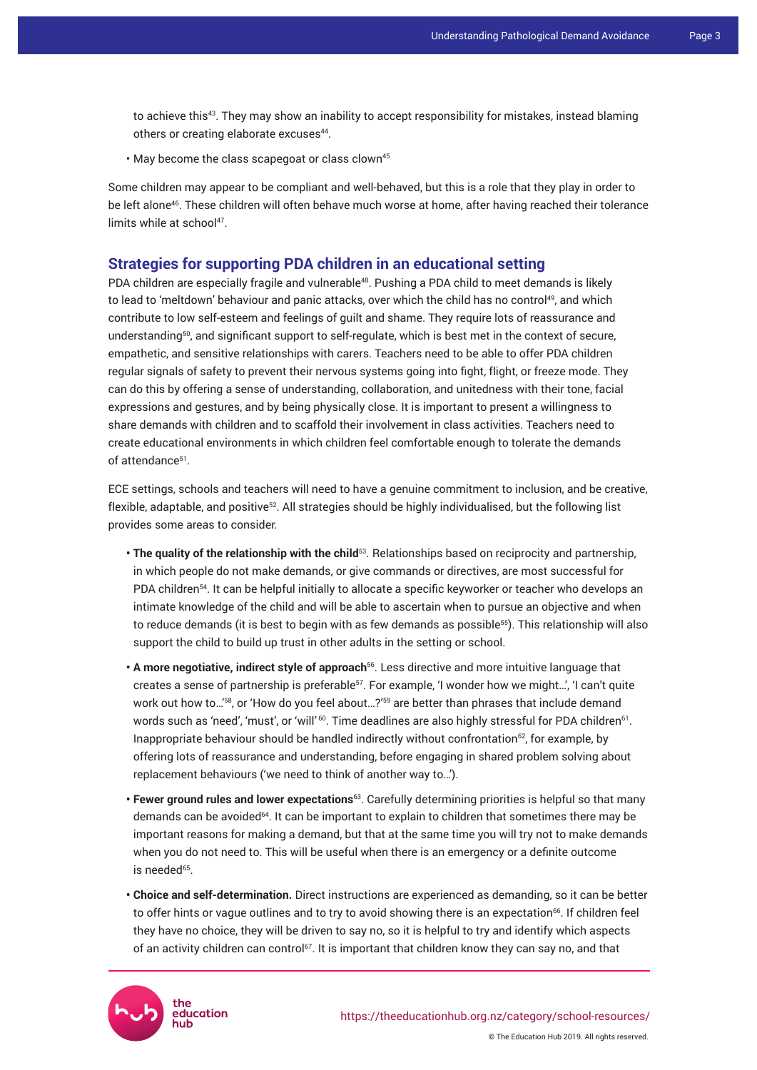to achieve this<sup>43</sup>. They may show an inability to accept responsibility for mistakes, instead blaming others or creating elaborate excuses<sup>44</sup>.

• May become the class scapegoat or class clown<sup>45</sup>

Some children may appear to be compliant and well-behaved, but this is a role that they play in order to be left alone<sup>46</sup>. These children will often behave much worse at home, after having reached their tolerance limits while at school<sup>47</sup>.

## **Strategies for supporting PDA children in an educational setting**

PDA children are especially fragile and vulnerable<sup>48</sup>. Pushing a PDA child to meet demands is likely to lead to 'meltdown' behaviour and panic attacks, over which the child has no control<sup>49</sup>, and which contribute to low self-esteem and feelings of guilt and shame. They require lots of reassurance and understanding<sup>50</sup>, and significant support to self-regulate, which is best met in the context of secure, empathetic, and sensitive relationships with carers. Teachers need to be able to offer PDA children regular signals of safety to prevent their nervous systems going into fight, flight, or freeze mode. They can do this by offering a sense of understanding, collaboration, and unitedness with their tone, facial expressions and gestures, and by being physically close. It is important to present a willingness to share demands with children and to scaffold their involvement in class activities. Teachers need to create educational environments in which children feel comfortable enough to tolerate the demands of attendance<sup>51</sup>.

ECE settings, schools and teachers will need to have a genuine commitment to inclusion, and be creative, flexible, adaptable, and positive<sup>52</sup>. All strategies should be highly individualised, but the following list provides some areas to consider.

- **The quality of the relationship with the child**<sup>53</sup>. Relationships based on reciprocity and partnership, in which people do not make demands, or give commands or directives, are most successful for PDA children<sup>54</sup>. It can be helpful initially to allocate a specific keyworker or teacher who develops an intimate knowledge of the child and will be able to ascertain when to pursue an objective and when to reduce demands (it is best to begin with as few demands as possible<sup>55</sup>). This relationship will also support the child to build up trust in other adults in the setting or school.
- **A more negotiative, indirect style of approach**<sup>56</sup>. Less directive and more intuitive language that creates a sense of partnership is preferable<sup>57</sup>. For example, 'I wonder how we might...', 'I can't quite work out how to...<sup>'58</sup>, or 'How do you feel about...?'<sup>59</sup> are better than phrases that include demand words such as 'need', 'must', or 'will'  $^{60}$ . Time deadlines are also highly stressful for PDA children $^{61}$ . Inappropriate behaviour should be handled indirectly without confrontation<sup>62</sup>, for example, by offering lots of reassurance and understanding, before engaging in shared problem solving about replacement behaviours ('we need to think of another way to…').
- **Fewer ground rules and lower expectations**<sup>63</sup>. Carefully determining priorities is helpful so that many demands can be avoided<sup>64</sup>. It can be important to explain to children that sometimes there may be important reasons for making a demand, but that at the same time you will try not to make demands when you do not need to. This will be useful when there is an emergency or a definite outcome is needed<sup>65</sup>.
- **Choice and self-determination.** Direct instructions are experienced as demanding, so it can be better to offer hints or vague outlines and to try to avoid showing there is an expectation<sup>66</sup>. If children feel they have no choice, they will be driven to say no, so it is helpful to try and identify which aspects of an activity children can control<sup>67</sup>. It is important that children know they can say no, and that

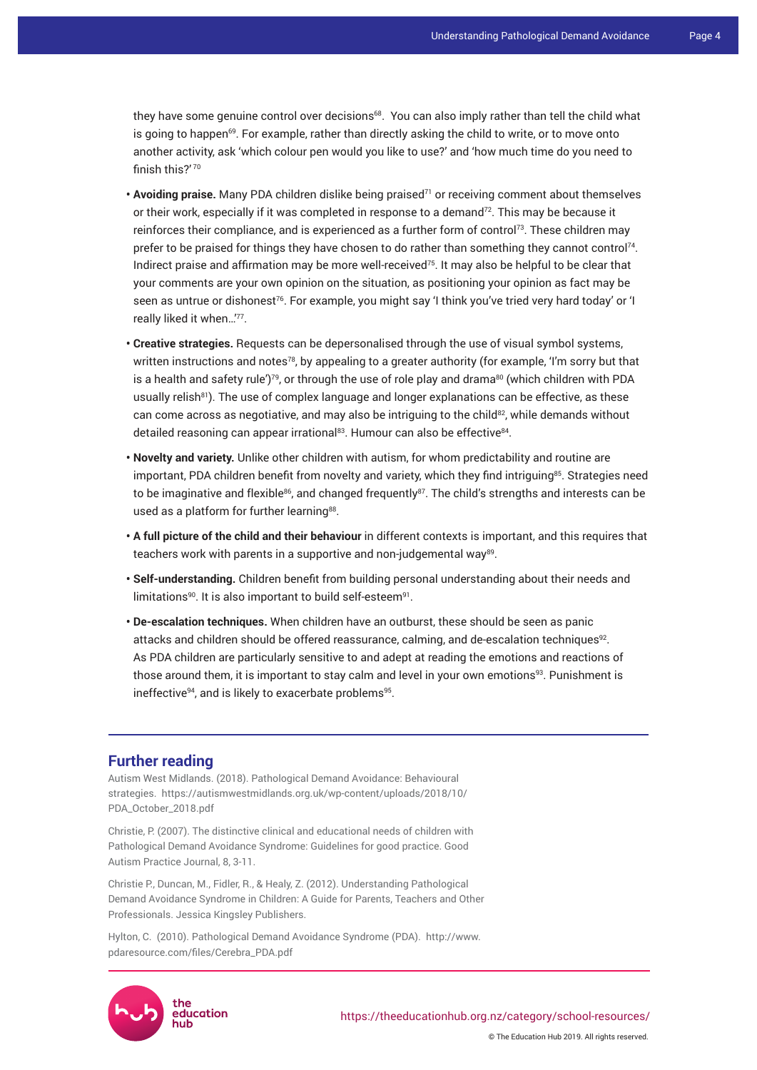they have some genuine control over decisions<sup>68</sup>. You can also imply rather than tell the child what is going to happen $69$ . For example, rather than directly asking the child to write, or to move onto another activity, ask 'which colour pen would you like to use?' and 'how much time do you need to finish this?'70

- **Avoiding praise.** Many PDA children dislike being praised<sup>71</sup> or receiving comment about themselves or their work, especially if it was completed in response to a demand<sup>72</sup>. This may be because it reinforces their compliance, and is experienced as a further form of control<sup>73</sup>. These children may prefer to be praised for things they have chosen to do rather than something they cannot control<sup>74</sup>. Indirect praise and affirmation may be more well-received<sup>75</sup>. It may also be helpful to be clear that your comments are your own opinion on the situation, as positioning your opinion as fact may be seen as untrue or dishonest<sup>76</sup>. For example, you might say 'I think you've tried very hard today' or 'I really liked it when…'<sup>77</sup> .
- **Creative strategies.** Requests can be depersonalised through the use of visual symbol systems, written instructions and notes<sup>78</sup>, by appealing to a greater authority (for example, 'I'm sorry but that is a health and safety rule')<sup>79</sup>, or through the use of role play and drama<sup>80</sup> (which children with PDA usually relish<sup>81</sup>). The use of complex language and longer explanations can be effective, as these can come across as negotiative, and may also be intriguing to the child<sup>82</sup>, while demands without detailed reasoning can appear irrational<sup>83</sup>. Humour can also be effective<sup>84</sup>.
- **Novelty and variety.** Unlike other children with autism, for whom predictability and routine are important, PDA children benefit from novelty and variety, which they find intriguing<sup>85</sup>. Strategies need to be imaginative and flexible<sup>86</sup>, and changed frequently<sup>87</sup>. The child's strengths and interests can be used as a platform for further learning<sup>88</sup>.
- **A full picture of the child and their behaviour** in different contexts is important, and this requires that teachers work with parents in a supportive and non-judgemental way $^{\rm 89}$ .
- **Self-understanding.** Children benefit from building personal understanding about their needs and limitations $^{90}$ . It is also important to build self-esteem $^{91}$ .
- **De-escalation techniques.** When children have an outburst, these should be seen as panic attacks and children should be offered reassurance, calming, and de-escalation techniques $92$ . As PDA children are particularly sensitive to and adept at reading the emotions and reactions of those around them, it is important to stay calm and level in your own emotions<sup>93</sup>. Punishment is ineffective $^{94}$ , and is likely to exacerbate problems $^{95}$ .

## **Further reading**

Autism West Midlands. (2018). Pathological Demand Avoidance: Behavioural strategies. https://autismwestmidlands.org.uk/wp-content/uploads/2018/10/ PDA\_October\_2018.pdf

Christie, P. (2007). The distinctive clinical and educational needs of children with Pathological Demand Avoidance Syndrome: Guidelines for good practice. Good Autism Practice Journal, 8, 3-11.

Christie P., Duncan, M., Fidler, R., & Healy, Z. (2012). Understanding Pathological Demand Avoidance Syndrome in Children: A Guide for Parents, Teachers and Other Professionals. Jessica Kingsley Publishers.

Hylton, C. (2010). Pathological Demand Avoidance Syndrome (PDA). http://www. pdaresource.com/files/Cerebra\_PDA.pdf



© The Education Hub 2019. All rights reserved.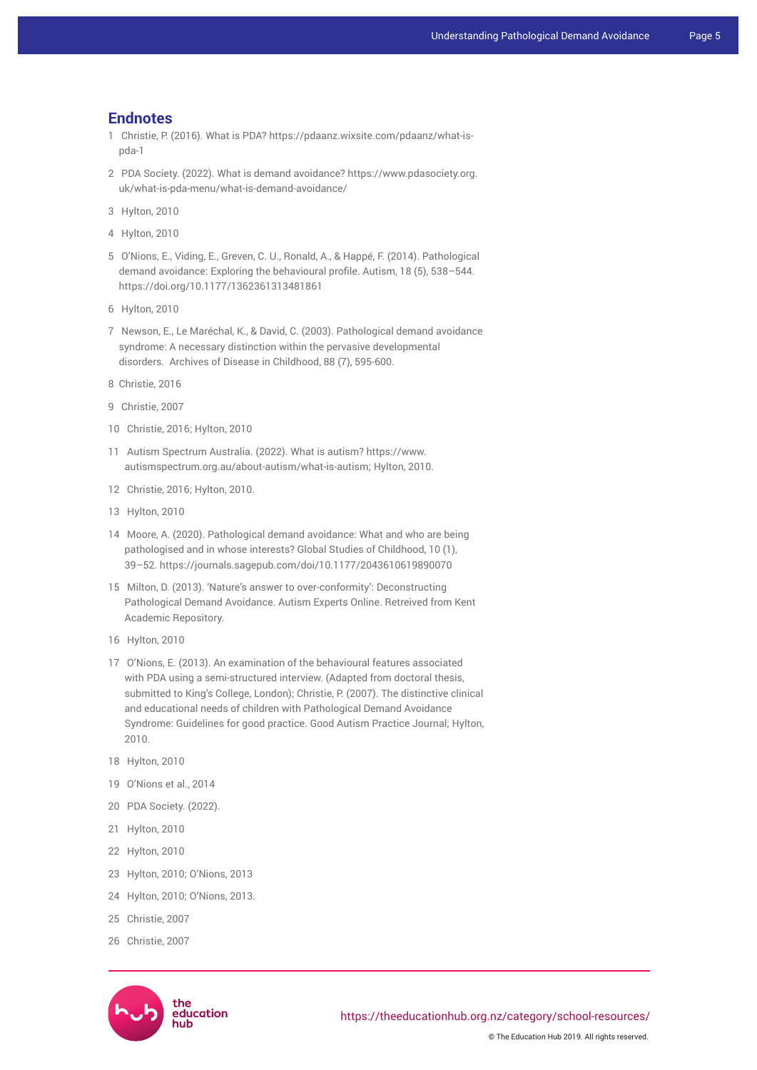#### **Endnotes**

- 1 Christie, P. (2016). What is PDA? https://pdaanz.wixsite.com/pdaanz/what-ispda-1
- 2 PDA Society. (2022). What is demand avoidance? https://www.pdasociety.org. uk/what-is-pda-menu/what-is-demand-avoidance/
- 3 Hylton, 2010
- 4 Hylton, 2010
- 5 O'Nions, E., Viding, E., Greven, C. U., Ronald, A., & Happé, F. (2014). Pathological demand avoidance: Exploring the behavioural profile. Autism, 18 (5), 538–544. https://doi.org/10.1177/1362361313481861
- 6 Hylton, 2010
- 7 Newson, E., Le Maréchal, K., & David, C. (2003). Pathological demand avoidance syndrome: A necessary distinction within the pervasive developmental disorders. Archives of Disease in Childhood, 88 (7), 595-600.
- 8 Christie, 2016
- 9 Christie, 2007
- 10 Christie, 2016; Hylton, 2010
- 11 Autism Spectrum Australia. (2022). What is autism? https://www. autismspectrum.org.au/about-autism/what-is-autism; Hylton, 2010.
- 12 Christie, 2016; Hylton, 2010.
- 13 Hylton, 2010
- 14 Moore, A. (2020). Pathological demand avoidance: What and who are being pathologised and in whose interests? Global Studies of Childhood, 10 (1), 39–52. https://journals.sagepub.com/doi/10.1177/2043610619890070
- 15 Milton, D. (2013). 'Nature's answer to over-conformity': Deconstructing Pathological Demand Avoidance. Autism Experts Online. Retreived from Kent Academic Repository.
- 16 Hylton, 2010
- 17 O'Nions, E. (2013). An examination of the behavioural features associated with PDA using a semi-structured interview. (Adapted from doctoral thesis, submitted to King's College, London); Christie, P. (2007). The distinctive clinical and educational needs of children with Pathological Demand Avoidance Syndrome: Guidelines for good practice. Good Autism Practice Journal; Hylton, 2010.
- 18 Hylton, 2010
- 19 O'Nions et al., 2014
- 20 PDA Society. (2022).
- 21 Hylton, 2010
- 22 Hylton, 2010
- 23 Hylton, 2010; O'Nions, 2013
- 24 Hylton, 2010; O'Nions, 2013.
- 25 Christie, 2007
- 26 Christie, 2007

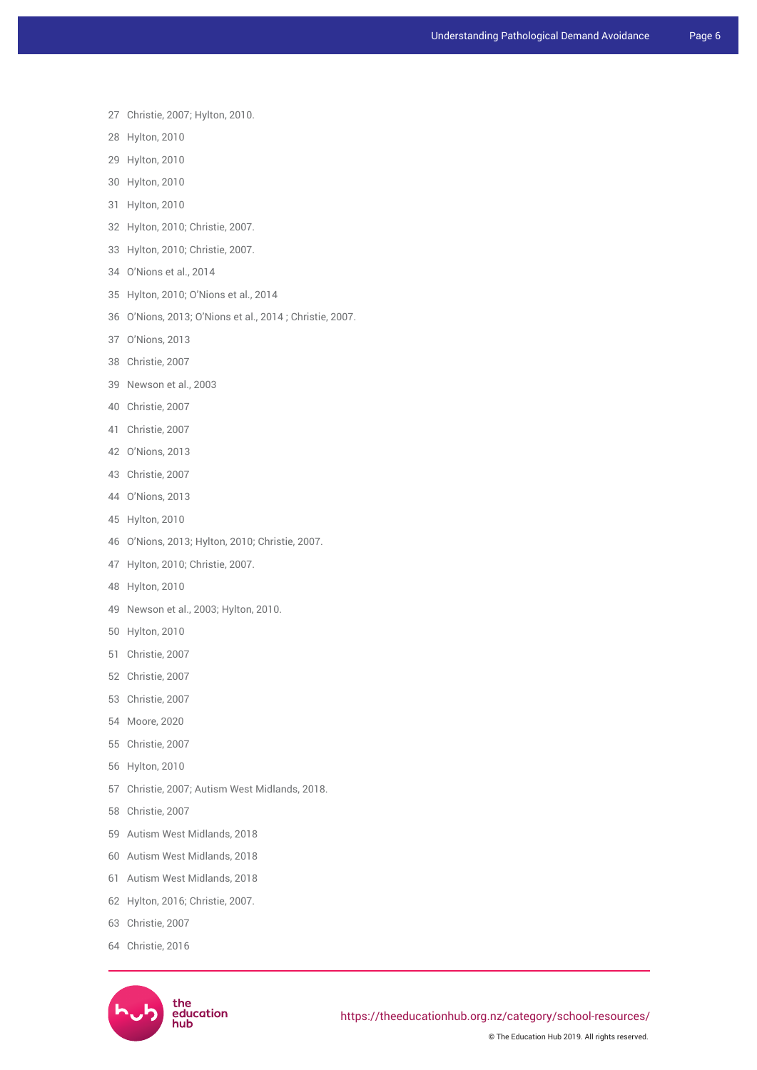- 27 Christie, 2007; Hylton, 2010.
- 28 Hylton, 2010
- 29 Hylton, 2010
- 30 Hylton, 2010
- 31 Hylton, 2010
- 32 Hylton, 2010; Christie, 2007.
- 33 Hylton, 2010; Christie, 2007.
- 34 O'Nions et al., 2014
- 35 Hylton, 2010; O'Nions et al., 2014
- 36 O'Nions, 2013; O'Nions et al., 2014 ; Christie, 2007.
- 37 O'Nions, 2013
- 38 Christie, 2007
- 39 Newson et al., 2003
- 40 Christie, 2007
- 41 Christie, 2007
- 42 O'Nions, 2013
- 43 Christie, 2007
- 44 O'Nions, 2013
- 45 Hylton, 2010
- 46 O'Nions, 2013; Hylton, 2010; Christie, 2007.
- 47 Hylton, 2010; Christie, 2007.
- 48 Hylton, 2010
- 49 Newson et al., 2003; Hylton, 2010.
- 50 Hylton, 2010
- 51 Christie, 2007
- 52 Christie, 2007
- 53 Christie, 2007
- 54 Moore, 2020
- 55 Christie, 2007
- 56 Hylton, 2010
- 57 Christie, 2007; Autism West Midlands, 2018.
- 58 Christie, 2007
- 59 Autism West Midlands, 2018
- 60 Autism West Midlands, 2018
- 61 Autism West Midlands, 2018
- 62 Hylton, 2016; Christie, 2007.
- 63 Christie, 2007
- 64 Christie, 2016